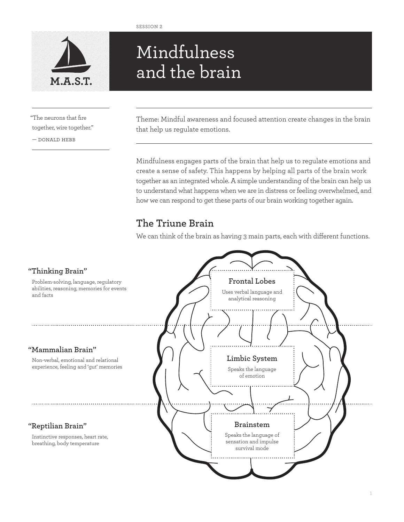

# Mindfulness and the brain **M.A.S.T.**

"The neurons that fire together, wire together."

— donald hebb

Theme: Mindful awareness and focused attention create changes in the brain that help us regulate emotions.

Mindfulness engages parts of the brain that help us to regulate emotions and create a sense of safety. This happens by helping all parts of the brain work together as an integrated whole. A simple understanding of the brain can help us to understand what happens when we are in distress or feeling overwhelmed, and how we can respond to get these parts of our brain working together again.

## **The Triune Brain**

We can think of the brain as having 3 main parts, each with different functions.